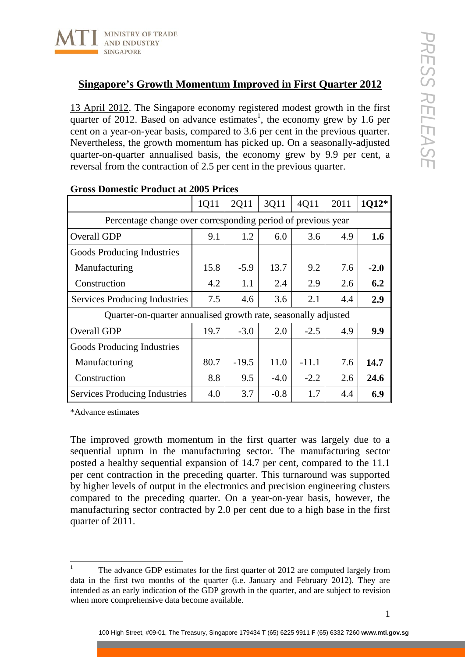

13 April 2012. The Singapore economy registered modest growth in the first quarter of 2012. Based on advance estimates<sup>1</sup>, the economy grew by 1.6 per cent on a year-on-year basis, compared to 3.6 per cent in the previous quarter. Nevertheless, the growth momentum has picked up. On a seasonally-adjusted quarter-on-quarter annualised basis, the economy grew by 9.9 per cent, a reversal from the contraction of 2.5 per cent in the previous quarter.

|                                                                | 1Q11 | 2Q11    | 3Q11   | 4Q11    | 2011 | 1Q12*  |
|----------------------------------------------------------------|------|---------|--------|---------|------|--------|
| Percentage change over corresponding period of previous year   |      |         |        |         |      |        |
| Overall GDP                                                    | 9.1  | 1.2     | 6.0    | 3.6     | 4.9  | 1.6    |
| Goods Producing Industries                                     |      |         |        |         |      |        |
| Manufacturing                                                  | 15.8 | $-5.9$  | 13.7   | 9.2     | 7.6  | $-2.0$ |
| Construction                                                   | 4.2  | 1.1     | 2.4    | 2.9     | 2.6  | 6.2    |
| <b>Services Producing Industries</b>                           | 7.5  | 4.6     | 3.6    | 2.1     | 4.4  | 2.9    |
| Quarter-on-quarter annualised growth rate, seasonally adjusted |      |         |        |         |      |        |
| Overall GDP                                                    | 19.7 | $-3.0$  | 2.0    | $-2.5$  | 4.9  | 9.9    |
| Goods Producing Industries                                     |      |         |        |         |      |        |
| Manufacturing                                                  | 80.7 | $-19.5$ | 11.0   | $-11.1$ | 7.6  | 14.7   |
| Construction                                                   | 8.8  | 9.5     | $-4.0$ | $-2.2$  | 2.6  | 24.6   |
| <b>Services Producing Industries</b>                           | 4.0  | 3.7     | $-0.8$ | 1.7     | 4.4  | 6.9    |

## **Gross Domestic Product at 2005 Prices**

\*Advance estimates

The improved growth momentum in the first quarter was largely due to a sequential upturn in the manufacturing sector. The manufacturing sector posted a healthy sequential expansion of 14.7 per cent, compared to the 11.1 per cent contraction in the preceding quarter. This turnaround was supported by higher levels of output in the electronics and precision engineering clusters compared to the preceding quarter. On a year-on-year basis, however, the manufacturing sector contracted by 2.0 per cent due to a high base in the first quarter of 2011.

The advance GDP estimates for the first quarter of 2012 are computed largely from data in the first two months of the quarter (i.e. January and February 2012). They are intended as an early indication of the GDP growth in the quarter, and are subject to revision when more comprehensive data become available.